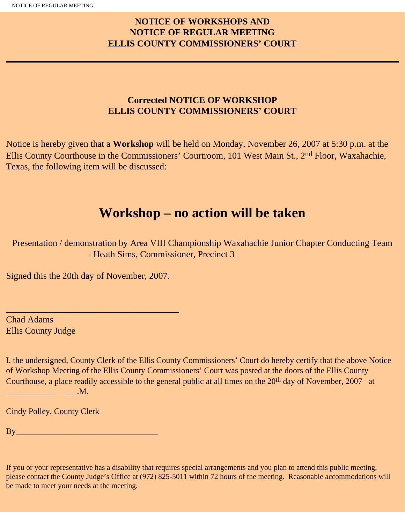## **NOTICE OF WORKSHOPS AND NOTICE OF REGULAR MEETING ELLIS COUNTY COMMISSIONERS' COURT**

## **Corrected NOTICE OF WORKSHOP ELLIS COUNTY COMMISSIONERS' COURT**

Notice is hereby given that a **Workshop** will be held on Monday, November 26, 2007 at 5:30 p.m. at the Ellis County Courthouse in the Commissioners' Courtroom, 101 West Main St., 2<sup>nd</sup> Floor, Waxahachie, Texas, the following item will be discussed:

# **Workshop – no action will be taken**

Presentation / demonstration by Area VIII Championship Waxahachie Junior Chapter Conducting Team - Heath Sims, Commissioner, Precinct 3

Signed this the 20th day of November, 2007.

\_\_\_\_\_\_\_\_\_\_\_\_\_\_\_\_\_\_\_\_\_\_\_\_\_\_\_\_\_\_\_\_\_\_\_\_\_\_

Chad Adams Ellis County Judge

I, the undersigned, County Clerk of the Ellis County Commissioners' Court do hereby certify that the above Notice of Workshop Meeting of the Ellis County Commissioners' Court was posted at the doors of the Ellis County Courthouse, a place readily accessible to the general public at all times on the 20<sup>th</sup> day of November, 2007 at  $\qquad \qquad \qquad \qquad \qquad \qquad \qquad \qquad \qquad \text{M}.$ 

Cindy Polley, County Clerk

 $\mathbf{B} \mathbf{y}$ 

If you or your representative has a disability that requires special arrangements and you plan to attend this public meeting, please contact the County Judge's Office at (972) 825-5011 within 72 hours of the meeting. Reasonable accommodations will be made to meet your needs at the meeting.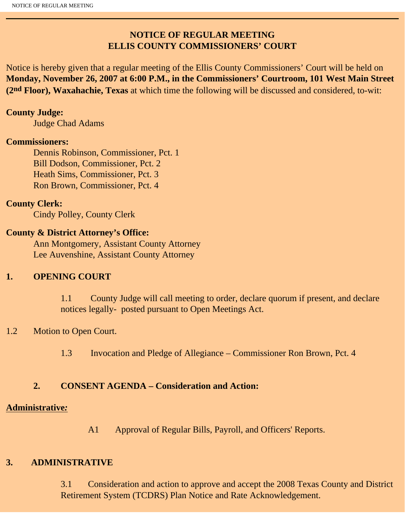## **NOTICE OF REGULAR MEETING ELLIS COUNTY COMMISSIONERS' COURT**

Notice is hereby given that a regular meeting of the Ellis County Commissioners' Court will be held on **Monday, November 26, 2007 at 6:00 P.M., in the Commissioners' Courtroom, 101 West Main Street (2nd Floor), Waxahachie, Texas** at which time the following will be discussed and considered, to-wit:

#### **County Judge:**

Judge Chad Adams

#### **Commissioners:**

 Dennis Robinson, Commissioner, Pct. 1 Bill Dodson, Commissioner, Pct. 2 Heath Sims, Commissioner, Pct. 3 Ron Brown, Commissioner, Pct. 4

#### **County Clerk:**

Cindy Polley, County Clerk

#### **County & District Attorney's Office:**

 Ann Montgomery, Assistant County Attorney Lee Auvenshine, Assistant County Attorney

#### **1. OPENING COURT**

1.1 County Judge will call meeting to order, declare quorum if present, and declare notices legally- posted pursuant to Open Meetings Act.

## 1.2 Motion to Open Court.

1.3 Invocation and Pledge of Allegiance – Commissioner Ron Brown, Pct. 4

#### **2. CONSENT AGENDA – Consideration and Action:**

#### **Administrative***:*

A1 Approval of Regular Bills, Payroll, and Officers' Reports.

#### **3. ADMINISTRATIVE**

3.1 Consideration and action to approve and accept the 2008 Texas County and District Retirement System (TCDRS) Plan Notice and Rate Acknowledgement.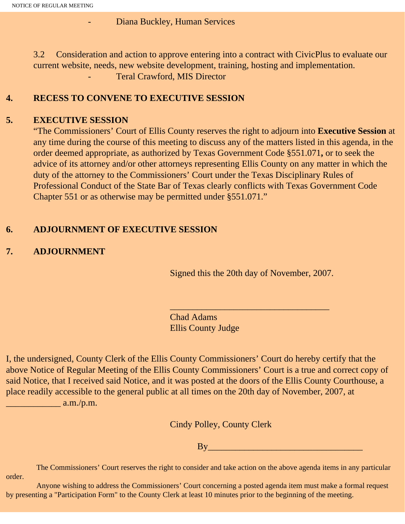Diana Buckley, Human Services

3.2 Consideration and action to approve entering into a contract with CivicPlus to evaluate our current website, needs, new website development, training, hosting and implementation.

Teral Crawford, MIS Director

#### **4. RECESS TO CONVENE TO EXECUTIVE SESSION**

#### **5. EXECUTIVE SESSION**

"The Commissioners' Court of Ellis County reserves the right to adjourn into **Executive Session** at any time during the course of this meeting to discuss any of the matters listed in this agenda, in the order deemed appropriate, as authorized by Texas Government Code §551.071**,** or to seek the advice of its attorney and/or other attorneys representing Ellis County on any matter in which the duty of the attorney to the Commissioners' Court under the Texas Disciplinary Rules of Professional Conduct of the State Bar of Texas clearly conflicts with Texas Government Code Chapter 551 or as otherwise may be permitted under §551.071."

## **6. ADJOURNMENT OF EXECUTIVE SESSION**

## **7. ADJOURNMENT**

Signed this the 20th day of November, 2007.

 $\frac{1}{2}$  , and the set of the set of the set of the set of the set of the set of the set of the set of the set of the set of the set of the set of the set of the set of the set of the set of the set of the set of the set

Chad Adams Ellis County Judge

I, the undersigned, County Clerk of the Ellis County Commissioners' Court do hereby certify that the above Notice of Regular Meeting of the Ellis County Commissioners' Court is a true and correct copy of said Notice, that I received said Notice, and it was posted at the doors of the Ellis County Courthouse, a place readily accessible to the general public at all times on the 20th day of November, 2007, at  $\frac{1}{2}$  a.m./p.m.

Cindy Polley, County Clerk

By\_\_\_\_\_\_\_\_\_\_\_\_\_\_\_\_\_\_\_\_\_\_\_\_\_\_\_\_\_\_\_\_\_\_

 The Commissioners' Court reserves the right to consider and take action on the above agenda items in any particular order.

 Anyone wishing to address the Commissioners' Court concerning a posted agenda item must make a formal request by presenting a "Participation Form" to the County Clerk at least 10 minutes prior to the beginning of the meeting.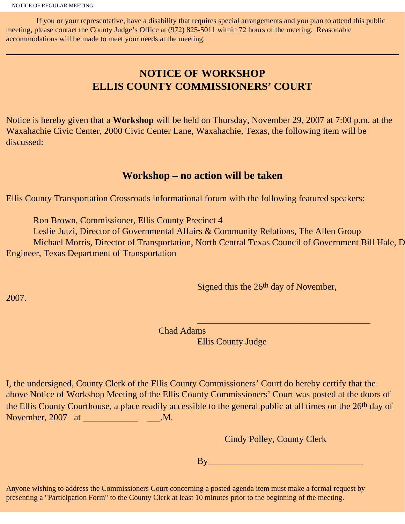If you or your representative, have a disability that requires special arrangements and you plan to attend this public meeting, please contact the County Judge's Office at (972) 825-5011 within 72 hours of the meeting. Reasonable accommodations will be made to meet your needs at the meeting.

## **NOTICE OF WORKSHOP ELLIS COUNTY COMMISSIONERS' COURT**

Notice is hereby given that a **Workshop** will be held on Thursday, November 29, 2007 at 7:00 p.m. at the Waxahachie Civic Center, 2000 Civic Center Lane, Waxahachie, Texas, the following item will be discussed:

## **Workshop – no action will be taken**

Ellis County Transportation Crossroads informational forum with the following featured speakers:

Ron Brown, Commissioner, Ellis County Precinct 4

 Leslie Jutzi, Director of Governmental Affairs & Community Relations, The Allen Group Michael Morris, Director of Transportation, North Central Texas Council of Government Bill Hale, D Engineer, Texas Department of Transportation

Signed this the 26<sup>th</sup> day of November,

2007.

Chad Adams

 $\mathcal{L}_\text{max}$  and  $\mathcal{L}_\text{max}$  and  $\mathcal{L}_\text{max}$  and  $\mathcal{L}_\text{max}$  and  $\mathcal{L}_\text{max}$  and  $\mathcal{L}_\text{max}$  and  $\mathcal{L}_\text{max}$ 

Ellis County Judge

I, the undersigned, County Clerk of the Ellis County Commissioners' Court do hereby certify that the above Notice of Workshop Meeting of the Ellis County Commissioners' Court was posted at the doors of the Ellis County Courthouse, a place readily accessible to the general public at all times on the 26th day of November, 2007 at \_\_\_\_\_\_\_\_\_\_\_\_\_\_\_\_\_\_\_\_\_\_\_\_\_\_\_\_\_\_\_\_.M.

Cindy Polley, County Clerk

 $By$   $\overline{By}$   $\overline{By}$   $\overline{By}$   $\overline{By}$   $\overline{By}$   $\overline{By}$   $\overline{By}$   $\overline{By}$   $\overline{By}$   $\overline{By}$   $\overline{By}$   $\overline{By}$   $\overline{By}$   $\overline{By}$   $\overline{By}$   $\overline{By}$   $\overline{By}$   $\overline{By}$   $\overline{By}$   $\overline{By}$   $\overline{By}$   $\overline{By}$   $\overline{By}$   $\overline{By}$ 

Anyone wishing to address the Commissioners Court concerning a posted agenda item must make a formal request by presenting a "Participation Form" to the County Clerk at least 10 minutes prior to the beginning of the meeting.